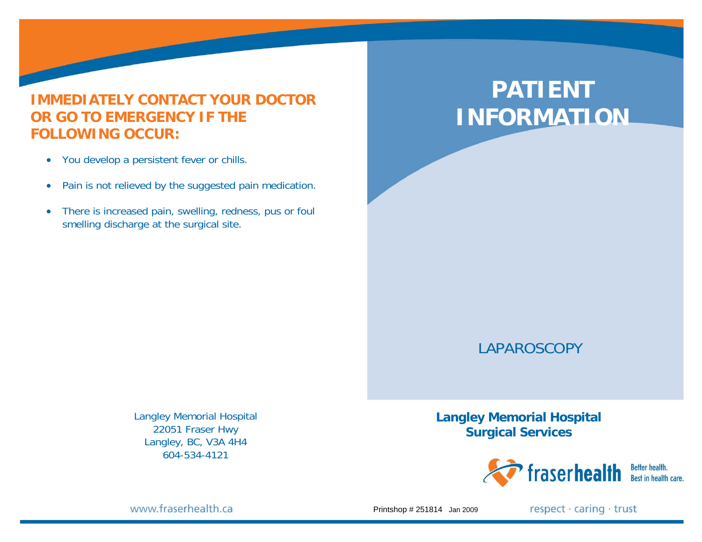#### **IMMEDIATELY CONTACT YOUR DOCTOR OR GO TO EMERGENCY IF THE FOLLOWING OCCUR:**

- You develop a persistent fever or chills.
- $\bullet$ Pain is not relieved by the suggested pain medication.
- $\bullet$  There is increased pain, swelling, redness, pus or foul smelling discharge at the surgical site.

# **PATIENT INFORMATION**

## LAPAROSCOPY

Langley Memorial Hospital 22051 Fraser Hwy Langley, BC, V3A 4H4 604-534-4121

**Langley Memorial Hospital Surgical Services** 



www.fraserhealth.ca

Printshop # 251814 Jan 2009

respect · caring · trust